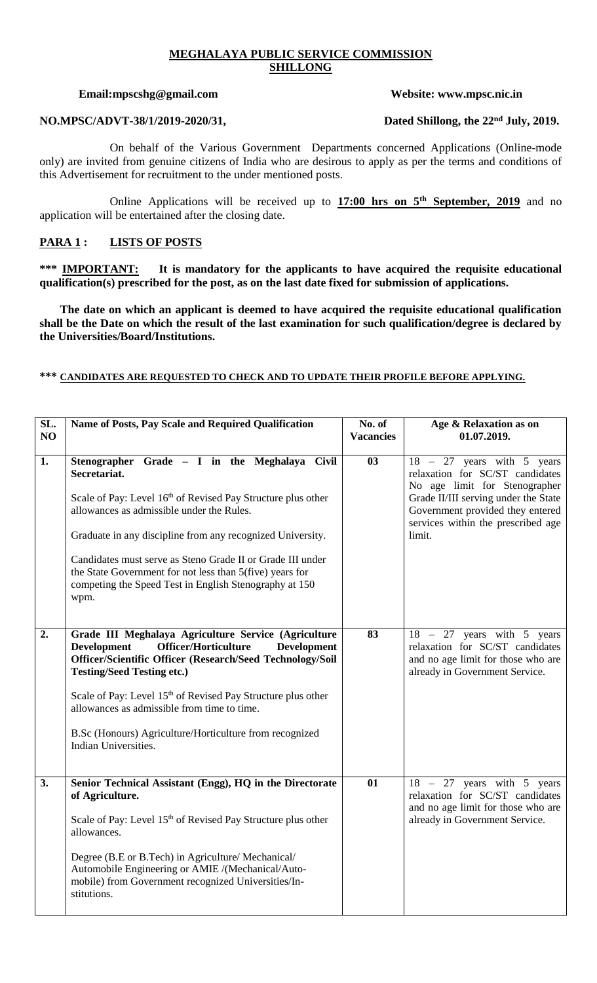# **MEGHALAYA PUBLIC SERVICE COMMISSION SHILLONG**

### **Email:mpscshg@gmail.com Website: www.mpsc.nic.in**

On behalf of the Various Government Departments concerned Applications (Online-mode only) are invited from genuine citizens of India who are desirous to apply as per the terms and conditions of this Advertisement for recruitment to the under mentioned posts.

Online Applications will be received up to **17:00 hrs on 5th September, 2019** and no application will be entertained after the closing date.

# **PARA 1 : LISTS OF POSTS**

\*\*\* **IMPORTANT:** It is mandatory for the applicants to have acquired the requisite educational **qualification(s) prescribed for the post, as on the last date fixed for submission of applications.**

 **The date on which an applicant is deemed to have acquired the requisite educational qualification shall be the Date on which the result of the last examination for such qualification/degree is declared by the Universities/Board/Institutions.**

### **\*\*\* CANDIDATES ARE REQUESTED TO CHECK AND TO UPDATE THEIR PROFILE BEFORE APPLYING.**

| SL.<br>NO | Name of Posts, Pay Scale and Required Qualification                                                                                                                                                                                                                                                                                                                                                                                             | No. of<br><b>Vacancies</b> | Age & Relaxation as on<br>01.07.2019.                                                                                                                                                                                           |
|-----------|-------------------------------------------------------------------------------------------------------------------------------------------------------------------------------------------------------------------------------------------------------------------------------------------------------------------------------------------------------------------------------------------------------------------------------------------------|----------------------------|---------------------------------------------------------------------------------------------------------------------------------------------------------------------------------------------------------------------------------|
| 1.        | Stenographer Grade - I in the Meghalaya Civil<br>Secretariat.<br>Scale of Pay: Level 16th of Revised Pay Structure plus other<br>allowances as admissible under the Rules.<br>Graduate in any discipline from any recognized University.<br>Candidates must serve as Steno Grade II or Grade III under<br>the State Government for not less than 5(five) years for<br>competing the Speed Test in English Stenography at 150<br>wpm.            | 03                         | 27 years with 5 years<br>$18 -$<br>relaxation for SC/ST candidates<br>No age limit for Stenographer<br>Grade II/III serving under the State<br>Government provided they entered<br>services within the prescribed age<br>limit. |
| 2.        | Grade III Meghalaya Agriculture Service (Agriculture<br><b>Officer/Horticulture</b><br><b>Development</b><br><b>Development</b><br>Officer/Scientific Officer (Research/Seed Technology/Soil<br><b>Testing/Seed Testing etc.)</b><br>Scale of Pay: Level 15 <sup>th</sup> of Revised Pay Structure plus other<br>allowances as admissible from time to time.<br>B.Sc (Honours) Agriculture/Horticulture from recognized<br>Indian Universities. | 83                         | $18 - 27$ years with 5 years<br>relaxation for SC/ST candidates<br>and no age limit for those who are<br>already in Government Service.                                                                                         |
| 3.        | Senior Technical Assistant (Engg), HQ in the Directorate<br>of Agriculture.<br>Scale of Pay: Level 15 <sup>th</sup> of Revised Pay Structure plus other<br>allowances.<br>Degree (B.E or B.Tech) in Agriculture/ Mechanical/<br>Automobile Engineering or AMIE /(Mechanical/Auto-<br>mobile) from Government recognized Universities/In-<br>stitutions.                                                                                         | 01                         | $18 - 27$ years with 5 years<br>relaxation for SC/ST candidates<br>and no age limit for those who are<br>already in Government Service.                                                                                         |

**NO.MPSC/ADVT-38/1/2019-2020/31, Dated Shillong, the 22nd July, 2019.**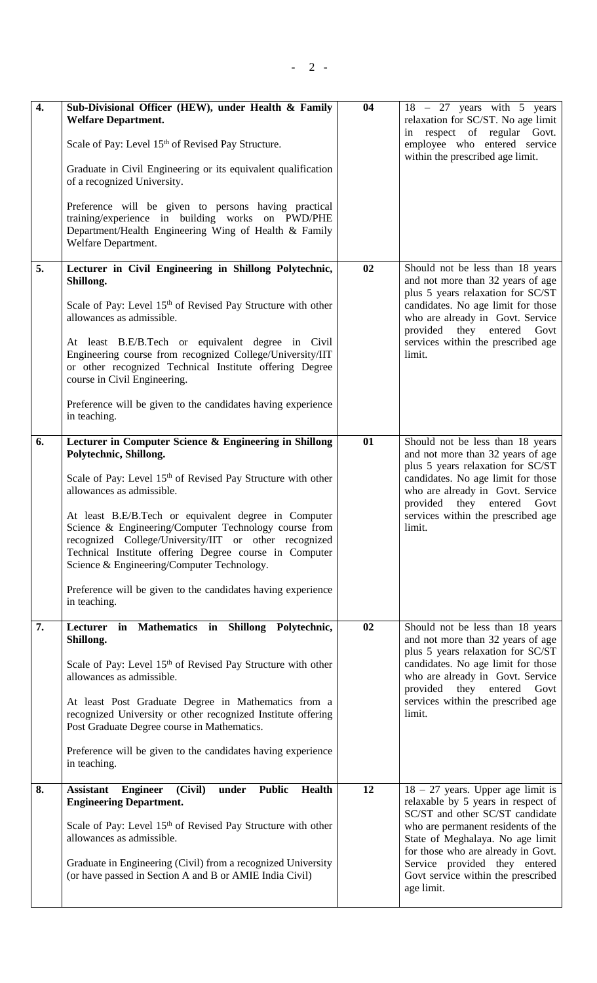| $\overline{4}$ . | Sub-Divisional Officer (HEW), under Health & Family<br><b>Welfare Department.</b><br>Scale of Pay: Level 15 <sup>th</sup> of Revised Pay Structure.<br>Graduate in Civil Engineering or its equivalent qualification<br>of a recognized University.<br>Preference will be given to persons having practical<br>training/experience in building works on PWD/PHE<br>Department/Health Engineering Wing of Health & Family<br>Welfare Department.                                                                                                             | 04 | $18 - 27$ years with 5 years<br>relaxation for SC/ST. No age limit<br>in respect of regular Govt.<br>employee who entered service<br>within the prescribed age limit.                                                                                                                                             |
|------------------|-------------------------------------------------------------------------------------------------------------------------------------------------------------------------------------------------------------------------------------------------------------------------------------------------------------------------------------------------------------------------------------------------------------------------------------------------------------------------------------------------------------------------------------------------------------|----|-------------------------------------------------------------------------------------------------------------------------------------------------------------------------------------------------------------------------------------------------------------------------------------------------------------------|
| 5.               | Lecturer in Civil Engineering in Shillong Polytechnic,<br>Shillong.<br>Scale of Pay: Level 15 <sup>th</sup> of Revised Pay Structure with other<br>allowances as admissible.<br>At least B.E/B.Tech or equivalent degree in Civil<br>Engineering course from recognized College/University/IIT<br>or other recognized Technical Institute offering Degree<br>course in Civil Engineering.<br>Preference will be given to the candidates having experience<br>in teaching.                                                                                   | 02 | Should not be less than 18 years<br>and not more than 32 years of age<br>plus 5 years relaxation for SC/ST<br>candidates. No age limit for those<br>who are already in Govt. Service<br>provided they entered Govt<br>services within the prescribed age<br>limit.                                                |
| 6.               | Lecturer in Computer Science & Engineering in Shillong<br>Polytechnic, Shillong.<br>Scale of Pay: Level 15 <sup>th</sup> of Revised Pay Structure with other<br>allowances as admissible.<br>At least B.E/B.Tech or equivalent degree in Computer<br>Science & Engineering/Computer Technology course from<br>recognized College/University/IIT or other recognized<br>Technical Institute offering Degree course in Computer<br>Science & Engineering/Computer Technology.<br>Preference will be given to the candidates having experience<br>in teaching. | 01 | Should not be less than 18 years<br>and not more than 32 years of age<br>plus 5 years relaxation for SC/ST<br>candidates. No age limit for those<br>who are already in Govt. Service<br>provided they entered Govt<br>services within the prescribed age<br>limit.                                                |
| 7.               | Lecturer in Mathematics in Shillong Polytechnic,<br>Shillong.<br>Scale of Pay: Level 15 <sup>th</sup> of Revised Pay Structure with other<br>allowances as admissible.<br>At least Post Graduate Degree in Mathematics from a<br>recognized University or other recognized Institute offering<br>Post Graduate Degree course in Mathematics.<br>Preference will be given to the candidates having experience<br>in teaching.                                                                                                                                | 02 | Should not be less than 18 years<br>and not more than 32 years of age<br>plus 5 years relaxation for SC/ST<br>candidates. No age limit for those<br>who are already in Govt. Service<br>they entered<br>provided<br>Govt<br>services within the prescribed age<br>limit.                                          |
| 8.               | (Civil)<br><b>Assistant</b><br><b>Engineer</b><br>under<br><b>Public</b><br><b>Health</b><br><b>Engineering Department.</b><br>Scale of Pay: Level 15 <sup>th</sup> of Revised Pay Structure with other<br>allowances as admissible.<br>Graduate in Engineering (Civil) from a recognized University<br>(or have passed in Section A and B or AMIE India Civil)                                                                                                                                                                                             | 12 | $18 - 27$ years. Upper age limit is<br>relaxable by 5 years in respect of<br>SC/ST and other SC/ST candidate<br>who are permanent residents of the<br>State of Meghalaya. No age limit<br>for those who are already in Govt.<br>Service provided they entered<br>Govt service within the prescribed<br>age limit. |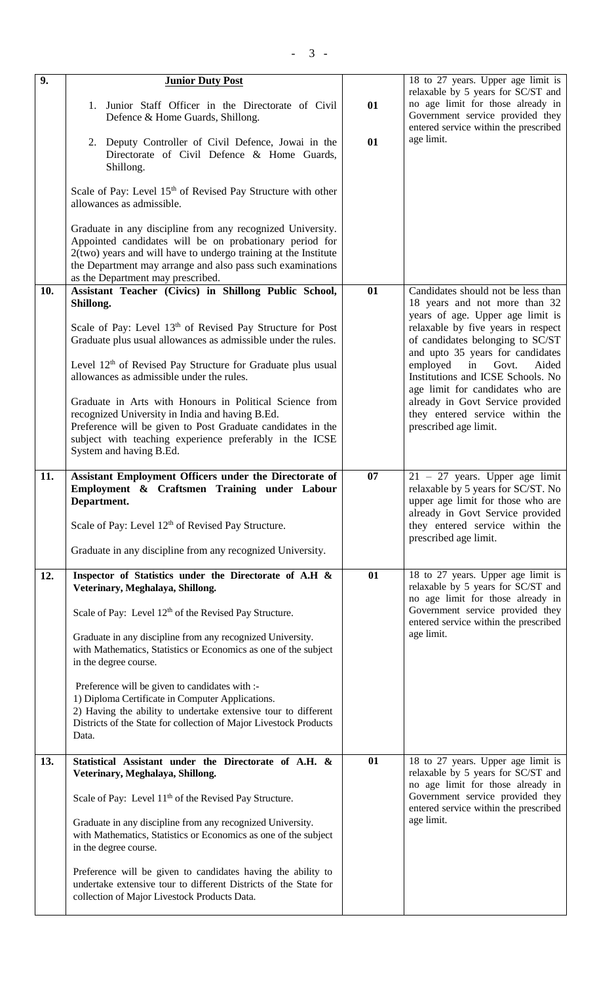| $\overline{9}$ . | <b>Junior Duty Post</b>                                                                                                                                                                                                                                                                       |    | 18 to 27 years. Upper age limit is<br>relaxable by 5 years for SC/ST and                                                                        |
|------------------|-----------------------------------------------------------------------------------------------------------------------------------------------------------------------------------------------------------------------------------------------------------------------------------------------|----|-------------------------------------------------------------------------------------------------------------------------------------------------|
|                  | 1. Junior Staff Officer in the Directorate of Civil<br>Defence & Home Guards, Shillong.                                                                                                                                                                                                       | 01 | no age limit for those already in<br>Government service provided they<br>entered service within the prescribed                                  |
|                  | 2. Deputy Controller of Civil Defence, Jowai in the<br>Directorate of Civil Defence & Home Guards,<br>Shillong.                                                                                                                                                                               | 01 | age limit.                                                                                                                                      |
|                  | Scale of Pay: Level 15 <sup>th</sup> of Revised Pay Structure with other<br>allowances as admissible.                                                                                                                                                                                         |    |                                                                                                                                                 |
|                  | Graduate in any discipline from any recognized University.<br>Appointed candidates will be on probationary period for<br>$2(two)$ years and will have to undergo training at the Institute<br>the Department may arrange and also pass such examinations<br>as the Department may prescribed. |    |                                                                                                                                                 |
| 10.              | Assistant Teacher (Civics) in Shillong Public School,<br>Shillong.                                                                                                                                                                                                                            | 01 | Candidates should not be less than<br>18 years and not more than 32                                                                             |
|                  | Scale of Pay: Level 13 <sup>th</sup> of Revised Pay Structure for Post<br>Graduate plus usual allowances as admissible under the rules.                                                                                                                                                       |    | years of age. Upper age limit is<br>relaxable by five years in respect<br>of candidates belonging to SC/ST<br>and upto 35 years for candidates  |
|                  | Level 12 <sup>th</sup> of Revised Pay Structure for Graduate plus usual<br>allowances as admissible under the rules.                                                                                                                                                                          |    | employed<br>in<br>Govt.<br>Aided<br>Institutions and ICSE Schools. No<br>age limit for candidates who are                                       |
|                  | Graduate in Arts with Honours in Political Science from<br>recognized University in India and having B.Ed.<br>Preference will be given to Post Graduate candidates in the<br>subject with teaching experience preferably in the ICSE<br>System and having B.Ed.                               |    | already in Govt Service provided<br>they entered service within the<br>prescribed age limit.                                                    |
| 11.              | Assistant Employment Officers under the Directorate of<br>Employment & Craftsmen Training under Labour<br>Department.                                                                                                                                                                         | 07 | $21 - 27$ years. Upper age limit<br>relaxable by 5 years for SC/ST. No<br>upper age limit for those who are<br>already in Govt Service provided |
|                  | Scale of Pay: Level 12 <sup>th</sup> of Revised Pay Structure.                                                                                                                                                                                                                                |    | they entered service within the<br>prescribed age limit.                                                                                        |
|                  | Graduate in any discipline from any recognized University.                                                                                                                                                                                                                                    |    |                                                                                                                                                 |
| 12.              | Inspector of Statistics under the Directorate of A.H &<br>Veterinary, Meghalaya, Shillong.                                                                                                                                                                                                    | 01 | 18 to 27 years. Upper age limit is<br>relaxable by 5 years for SC/ST and<br>no age limit for those already in                                   |
|                  | Scale of Pay: Level 12 <sup>th</sup> of the Revised Pay Structure.                                                                                                                                                                                                                            |    | Government service provided they<br>entered service within the prescribed                                                                       |
|                  | Graduate in any discipline from any recognized University.<br>with Mathematics, Statistics or Economics as one of the subject<br>in the degree course.                                                                                                                                        |    | age limit.                                                                                                                                      |
|                  | Preference will be given to candidates with :-<br>1) Diploma Certificate in Computer Applications.<br>2) Having the ability to undertake extensive tour to different<br>Districts of the State for collection of Major Livestock Products<br>Data.                                            |    |                                                                                                                                                 |
| 13.              | Statistical Assistant under the Directorate of A.H. &<br>Veterinary, Meghalaya, Shillong.                                                                                                                                                                                                     | 01 | 18 to 27 years. Upper age limit is<br>relaxable by 5 years for SC/ST and<br>no age limit for those already in                                   |
|                  | Scale of Pay: Level 11 <sup>th</sup> of the Revised Pay Structure.                                                                                                                                                                                                                            |    | Government service provided they<br>entered service within the prescribed                                                                       |
|                  | Graduate in any discipline from any recognized University.<br>with Mathematics, Statistics or Economics as one of the subject<br>in the degree course.                                                                                                                                        |    | age limit.                                                                                                                                      |
|                  | Preference will be given to candidates having the ability to<br>undertake extensive tour to different Districts of the State for<br>collection of Major Livestock Products Data.                                                                                                              |    |                                                                                                                                                 |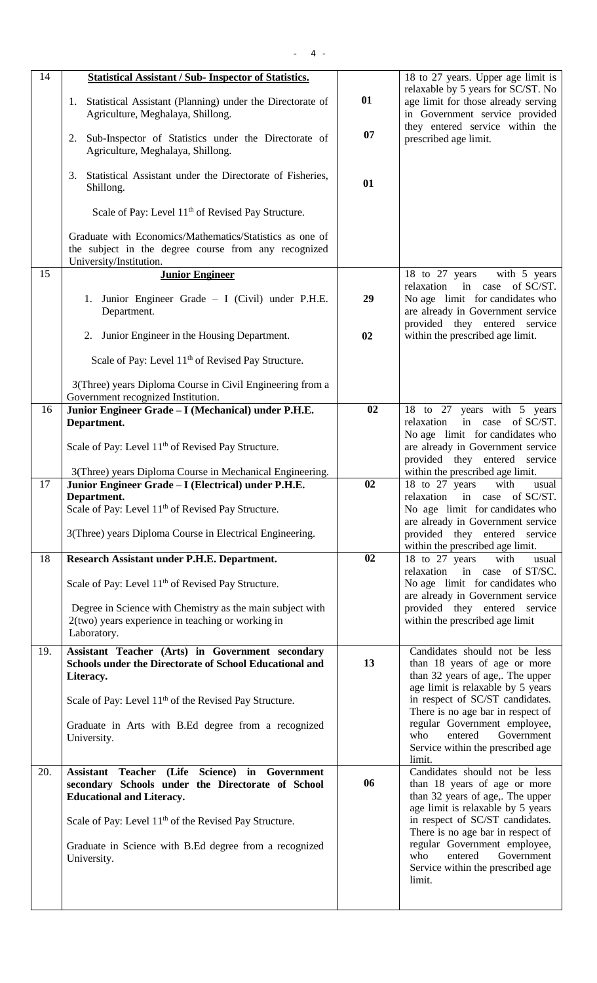| 14  | <b>Statistical Assistant / Sub- Inspector of Statistics.</b>                                                                                |    | 18 to 27 years. Upper age limit is                                                                          |
|-----|---------------------------------------------------------------------------------------------------------------------------------------------|----|-------------------------------------------------------------------------------------------------------------|
|     | 1. Statistical Assistant (Planning) under the Directorate of<br>Agriculture, Meghalaya, Shillong.                                           | 01 | relaxable by 5 years for SC/ST. No<br>age limit for those already serving<br>in Government service provided |
|     | Sub-Inspector of Statistics under the Directorate of<br>2.<br>Agriculture, Meghalaya, Shillong.                                             | 07 | they entered service within the<br>prescribed age limit.                                                    |
|     | Statistical Assistant under the Directorate of Fisheries,<br>3.<br>Shillong.                                                                | 01 |                                                                                                             |
|     | Scale of Pay: Level 11 <sup>th</sup> of Revised Pay Structure.                                                                              |    |                                                                                                             |
|     | Graduate with Economics/Mathematics/Statistics as one of<br>the subject in the degree course from any recognized<br>University/Institution. |    |                                                                                                             |
| 15  | <b>Junior Engineer</b>                                                                                                                      |    | 18 to 27 years<br>with 5 years<br>in case of SC/ST.<br>relaxation                                           |
|     | 1. Junior Engineer Grade - I (Civil) under P.H.E.<br>Department.                                                                            | 29 | No age limit for candidates who<br>are already in Government service<br>provided they entered service       |
|     | 2. Junior Engineer in the Housing Department.                                                                                               | 02 | within the prescribed age limit.                                                                            |
|     | Scale of Pay: Level 11 <sup>th</sup> of Revised Pay Structure.                                                                              |    |                                                                                                             |
|     | 3(Three) years Diploma Course in Civil Engineering from a<br>Government recognized Institution.                                             |    |                                                                                                             |
| 16  | Junior Engineer Grade - I (Mechanical) under P.H.E.                                                                                         | 02 | 18 to 27 years with 5 years                                                                                 |
|     | Department.                                                                                                                                 |    | relaxation<br>in case of SC/ST.<br>No age limit for candidates who                                          |
|     | Scale of Pay: Level 11 <sup>th</sup> of Revised Pay Structure.                                                                              |    | are already in Government service<br>provided they entered service                                          |
|     | 3(Three) years Diploma Course in Mechanical Engineering.                                                                                    |    | within the prescribed age limit.                                                                            |
| 17  | Junior Engineer Grade - I (Electrical) under P.H.E.                                                                                         | 02 | 18 to 27 years<br>with<br>usual                                                                             |
|     | Department.<br>Scale of Pay: Level 11 <sup>th</sup> of Revised Pay Structure.                                                               |    | relaxation in case of SC/ST.<br>No age limit for candidates who                                             |
|     |                                                                                                                                             |    | are already in Government service                                                                           |
|     | 3(Three) years Diploma Course in Electrical Engineering.                                                                                    |    | provided they entered service<br>within the prescribed age limit.                                           |
| 18  | Research Assistant under P.H.E. Department.                                                                                                 | 02 | 18 to 27 years<br>with<br>usual                                                                             |
|     | Scale of Pay: Level 11 <sup>th</sup> of Revised Pay Structure.                                                                              |    | in case of ST/SC.<br>relaxation<br>No age limit for candidates who                                          |
|     |                                                                                                                                             |    | are already in Government service                                                                           |
|     | Degree in Science with Chemistry as the main subject with<br>2(two) years experience in teaching or working in                              |    | provided they entered service<br>within the prescribed age limit                                            |
|     | Laboratory.                                                                                                                                 |    |                                                                                                             |
| 19. | Assistant Teacher (Arts) in Government secondary                                                                                            |    | Candidates should not be less                                                                               |
|     | <b>Schools under the Directorate of School Educational and</b><br>Literacy.                                                                 | 13 | than 18 years of age or more<br>than 32 years of age,. The upper                                            |
|     | Scale of Pay: Level 11 <sup>th</sup> of the Revised Pay Structure.                                                                          |    | age limit is relaxable by 5 years<br>in respect of SC/ST candidates.<br>There is no age bar in respect of   |
|     | Graduate in Arts with B.Ed degree from a recognized                                                                                         |    | regular Government employee,                                                                                |
|     | University.                                                                                                                                 |    | Government<br>who<br>entered<br>Service within the prescribed age                                           |
| 20. | Assistant Teacher (Life Science) in Government                                                                                              |    | limit.<br>Candidates should not be less                                                                     |
|     | secondary Schools under the Directorate of School<br><b>Educational and Literacy.</b>                                                       | 06 | than 18 years of age or more<br>than 32 years of age,. The upper                                            |
|     | Scale of Pay: Level 11 <sup>th</sup> of the Revised Pay Structure.                                                                          |    | age limit is relaxable by 5 years<br>in respect of SC/ST candidates.<br>There is no age bar in respect of   |
|     | Graduate in Science with B.Ed degree from a recognized<br>University.                                                                       |    | regular Government employee,<br>who<br>entered<br>Government<br>Service within the prescribed age<br>limit. |
|     |                                                                                                                                             |    |                                                                                                             |

- 4 -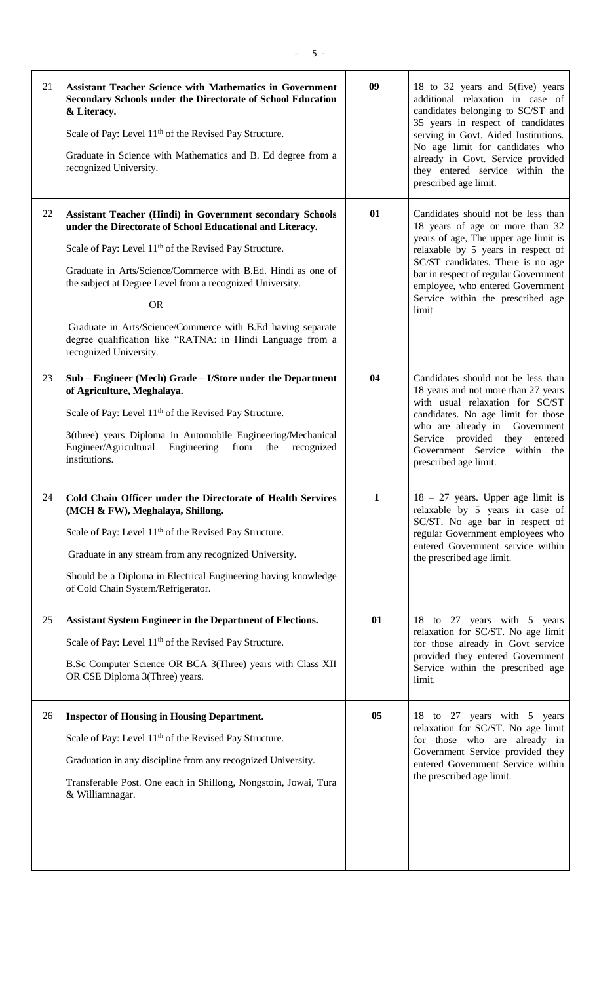| 21 | <b>Assistant Teacher Science with Mathematics in Government</b><br><b>Secondary Schools under the Directorate of School Education</b><br>& Literacy.<br>Scale of Pay: Level 11 <sup>th</sup> of the Revised Pay Structure.<br>Graduate in Science with Mathematics and B. Ed degree from a<br>recognized University.                                                                                                                                                                                 | 09             | 18 to 32 years and 5(five) years<br>additional relaxation in case of<br>candidates belonging to SC/ST and<br>35 years in respect of candidates<br>serving in Govt. Aided Institutions.<br>No age limit for candidates who<br>already in Govt. Service provided<br>they entered service within the<br>prescribed age limit. |
|----|------------------------------------------------------------------------------------------------------------------------------------------------------------------------------------------------------------------------------------------------------------------------------------------------------------------------------------------------------------------------------------------------------------------------------------------------------------------------------------------------------|----------------|----------------------------------------------------------------------------------------------------------------------------------------------------------------------------------------------------------------------------------------------------------------------------------------------------------------------------|
| 22 | <b>Assistant Teacher (Hindi) in Government secondary Schools</b><br>under the Directorate of School Educational and Literacy.<br>Scale of Pay: Level 11 <sup>th</sup> of the Revised Pay Structure.<br>Graduate in Arts/Science/Commerce with B.Ed. Hindi as one of<br>the subject at Degree Level from a recognized University.<br><b>OR</b><br>Graduate in Arts/Science/Commerce with B.Ed having separate<br>degree qualification like "RATNA: in Hindi Language from a<br>recognized University. | 01             | Candidates should not be less than<br>18 years of age or more than 32<br>years of age, The upper age limit is<br>relaxable by 5 years in respect of<br>SC/ST candidates. There is no age<br>bar in respect of regular Government<br>employee, who entered Government<br>Service within the prescribed age<br>limit         |
| 23 | Sub – Engineer (Mech) Grade – I/Store under the Department<br>of Agriculture, Meghalaya.<br>Scale of Pay: Level 11 <sup>th</sup> of the Revised Pay Structure.<br>3(three) years Diploma in Automobile Engineering/Mechanical<br>Engineer/Agricultural Engineering from<br>recognized<br>the<br>institutions.                                                                                                                                                                                        | 04             | Candidates should not be less than<br>18 years and not more than 27 years<br>with usual relaxation for SC/ST<br>candidates. No age limit for those<br>who are already in Government<br>Service provided they entered<br>Government Service within the<br>prescribed age limit.                                             |
| 24 | Cold Chain Officer under the Directorate of Health Services<br>(MCH & FW), Meghalaya, Shillong.<br>Scale of Pay: Level 11 <sup>th</sup> of the Revised Pay Structure.<br>Graduate in any stream from any recognized University.<br>Should be a Diploma in Electrical Engineering having knowledge<br>of Cold Chain System/Refrigerator.                                                                                                                                                              | $\mathbf{1}$   | $18 - 27$ years. Upper age limit is<br>relaxable by 5 years in case of<br>SC/ST. No age bar in respect of<br>regular Government employees who<br>entered Government service within<br>the prescribed age limit.                                                                                                            |
| 25 | <b>Assistant System Engineer in the Department of Elections.</b><br>Scale of Pay: Level 11 <sup>th</sup> of the Revised Pay Structure.<br>B.Sc Computer Science OR BCA 3(Three) years with Class XII<br>OR CSE Diploma 3(Three) years.                                                                                                                                                                                                                                                               | 01             | 18 to 27 years with 5 years<br>relaxation for SC/ST. No age limit<br>for those already in Govt service<br>provided they entered Government<br>Service within the prescribed age<br>limit.                                                                                                                                  |
| 26 | <b>Inspector of Housing in Housing Department.</b><br>Scale of Pay: Level 11 <sup>th</sup> of the Revised Pay Structure.<br>Graduation in any discipline from any recognized University.<br>Transferable Post. One each in Shillong, Nongstoin, Jowai, Tura<br>& Williamnagar.                                                                                                                                                                                                                       | 0 <sub>5</sub> | 18 to 27 years with 5 years<br>relaxation for SC/ST. No age limit<br>for those who are already in<br>Government Service provided they<br>entered Government Service within<br>the prescribed age limit.                                                                                                                    |

 $\mathsf{l}$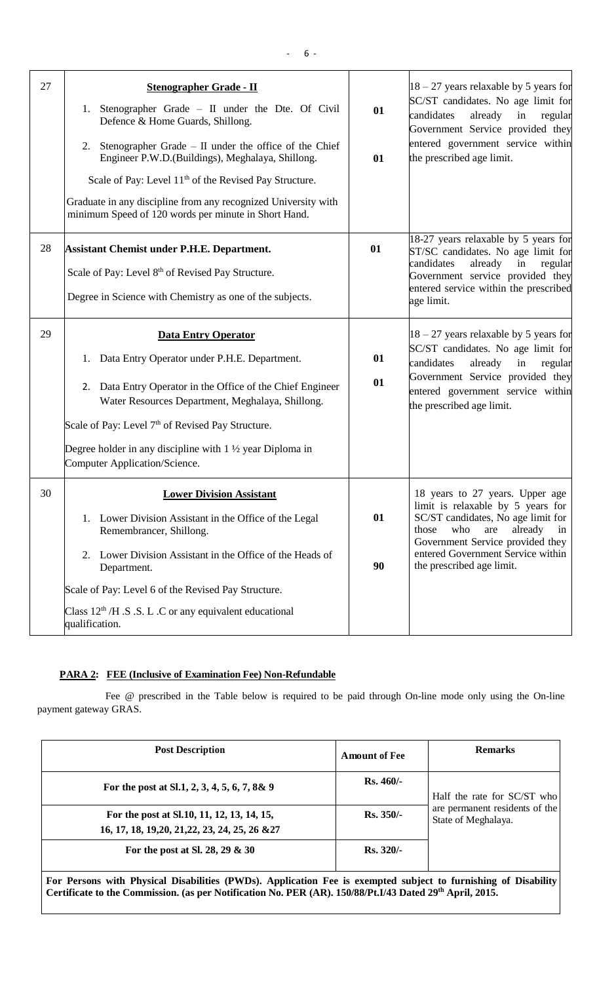| 27 | <b>Stenographer Grade - II</b><br>1. Stenographer Grade - II under the Dte. Of Civil<br>Defence & Home Guards, Shillong.<br>Stenographer Grade - II under the office of the Chief<br>2.<br>Engineer P.W.D.(Buildings), Meghalaya, Shillong.<br>Scale of Pay: Level 11 <sup>th</sup> of the Revised Pay Structure.<br>Graduate in any discipline from any recognized University with<br>minimum Speed of 120 words per minute in Short Hand. | 01<br>01 | $18 - 27$ years relaxable by 5 years for<br>SC/ST candidates. No age limit for<br>already<br>in<br>candidates<br>regular<br>Government Service provided they<br>entered government service within<br>the prescribed age limit.                           |
|----|---------------------------------------------------------------------------------------------------------------------------------------------------------------------------------------------------------------------------------------------------------------------------------------------------------------------------------------------------------------------------------------------------------------------------------------------|----------|----------------------------------------------------------------------------------------------------------------------------------------------------------------------------------------------------------------------------------------------------------|
| 28 | <b>Assistant Chemist under P.H.E. Department.</b><br>Scale of Pay: Level 8 <sup>th</sup> of Revised Pay Structure.<br>Degree in Science with Chemistry as one of the subjects.                                                                                                                                                                                                                                                              | 01       | 18-27 years relaxable by 5 years for<br>ST/SC candidates. No age limit for<br>candidates<br>already<br>in<br>regular<br>Government service provided they<br>entered service within the prescribed<br>age limit.                                          |
| 29 | <b>Data Entry Operator</b><br>1. Data Entry Operator under P.H.E. Department.<br>2. Data Entry Operator in the Office of the Chief Engineer<br>Water Resources Department, Meghalaya, Shillong.<br>Scale of Pay: Level $7th$ of Revised Pay Structure.<br>Degree holder in any discipline with $1 \frac{1}{2}$ year Diploma in<br>Computer Application/Science.                                                                             | 01<br>01 | $18 - 27$ years relaxable by 5 years for<br>SC/ST candidates. No age limit for<br>candidates<br>already<br>in<br>regular<br>Government Service provided they<br>entered government service within<br>the prescribed age limit.                           |
| 30 | <b>Lower Division Assistant</b><br>1. Lower Division Assistant in the Office of the Legal<br>Remembrancer, Shillong.<br>2. Lower Division Assistant in the Office of the Heads of<br>Department.<br>Scale of Pay: Level 6 of the Revised Pay Structure.<br>Class $12th / H$ . S.S. L.C or any equivalent educational<br>qualification.                                                                                                      | 01<br>90 | 18 years to 27 years. Upper age<br>limit is relaxable by 5 years for<br>SC/ST candidates, No age limit for<br>are<br>already<br>those<br>who<br>in<br>Government Service provided they<br>entered Government Service within<br>the prescribed age limit. |

# **PARA 2: FEE (Inclusive of Examination Fee) Non-Refundable**

Fee @ prescribed in the Table below is required to be paid through On-line mode only using the On-line payment gateway GRAS.

| <b>Post Description</b>                                                                                                                                                                                                    | <b>Amount of Fee</b> | <b>Remarks</b>                                                                       |
|----------------------------------------------------------------------------------------------------------------------------------------------------------------------------------------------------------------------------|----------------------|--------------------------------------------------------------------------------------|
| For the post at Sl.1, 2, 3, 4, 5, 6, 7, 8& 9                                                                                                                                                                               | $Rs.460/-$           | Half the rate for SC/ST who<br>are permanent residents of the<br>State of Meghalaya. |
| For the post at Sl.10, 11, 12, 13, 14, 15,<br>16, 17, 18, 19, 20, 21, 22, 23, 24, 25, 26 & 27                                                                                                                              | $Rs. 350/-$          |                                                                                      |
| For the post at Sl. 28, 29 $\&$ 30                                                                                                                                                                                         | $Rs. 320/-$          |                                                                                      |
| For Persons with Physical Disabilities (PWDs). Application Fee is exempted subject to furnishing of Disability<br>Certificate to the Commission. (as per Notification No. PER (AR). 150/88/Pt.I/43 Dated 29th April, 2015. |                      |                                                                                      |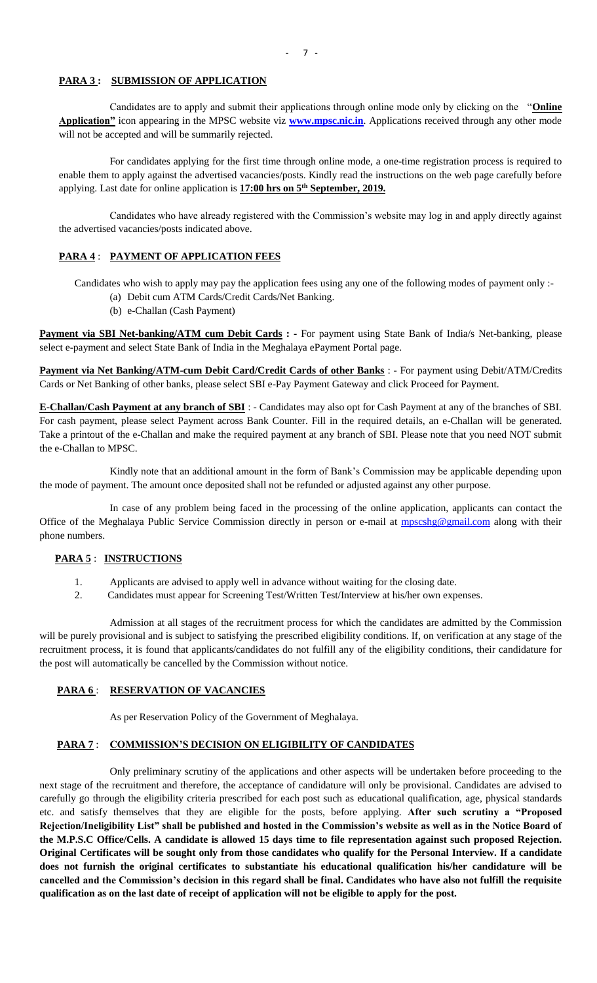#### **PARA 3 : SUBMISSION OF APPLICATION**

Candidates are to apply and submit their applications through online mode only by clicking on the "**Online Application"** icon appearing in the MPSC website viz **[www.mpsc.nic.in](http://www.mpsc.nic.in/)**. Applications received through any other mode will not be accepted and will be summarily rejected.

For candidates applying for the first time through online mode, a one-time registration process is required to enable them to apply against the advertised vacancies/posts. Kindly read the instructions on the web page carefully before applying. Last date for online application is **17:00 hrs on 5th September, 2019.**

Candidates who have already registered with the Commission's website may log in and apply directly against the advertised vacancies/posts indicated above.

### **PARA 4** : **PAYMENT OF APPLICATION FEES**

Candidates who wish to apply may pay the application fees using any one of the following modes of payment only :-

- (a) Debit cum ATM Cards/Credit Cards/Net Banking.
- (b) e-Challan (Cash Payment)

**Payment via SBI Net-banking/ATM cum Debit Cards : -** For payment using State Bank of India/s Net-banking, please select e-payment and select State Bank of India in the Meghalaya ePayment Portal page.

**Payment via Net Banking/ATM-cum Debit Card/Credit Cards of other Banks** : - For payment using Debit/ATM/Credits Cards or Net Banking of other banks, please select SBI e-Pay Payment Gateway and click Proceed for Payment.

**E-Challan/Cash Payment at any branch of SBI** : - Candidates may also opt for Cash Payment at any of the branches of SBI. For cash payment, please select Payment across Bank Counter. Fill in the required details, an e-Challan will be generated. Take a printout of the e-Challan and make the required payment at any branch of SBI. Please note that you need NOT submit the e-Challan to MPSC.

Kindly note that an additional amount in the form of Bank's Commission may be applicable depending upon the mode of payment. The amount once deposited shall not be refunded or adjusted against any other purpose.

In case of any problem being faced in the processing of the online application, applicants can contact the Office of the Meghalaya Public Service Commission directly in person or e-mail at [mpscshg@gmail.com](mailto:mpscshg@gmail.com) along with their phone numbers.

#### **PARA 5** : **INSTRUCTIONS**

- 1. Applicants are advised to apply well in advance without waiting for the closing date.
- 2. Candidates must appear for Screening Test/Written Test/Interview at his/her own expenses.

Admission at all stages of the recruitment process for which the candidates are admitted by the Commission will be purely provisional and is subject to satisfying the prescribed eligibility conditions. If, on verification at any stage of the recruitment process, it is found that applicants/candidates do not fulfill any of the eligibility conditions, their candidature for the post will automatically be cancelled by the Commission without notice.

#### **PARA 6** : **RESERVATION OF VACANCIES**

As per Reservation Policy of the Government of Meghalaya.

#### **PARA 7** : **COMMISSION'S DECISION ON ELIGIBILITY OF CANDIDATES**

Only preliminary scrutiny of the applications and other aspects will be undertaken before proceeding to the next stage of the recruitment and therefore, the acceptance of candidature will only be provisional. Candidates are advised to carefully go through the eligibility criteria prescribed for each post such as educational qualification, age, physical standards etc. and satisfy themselves that they are eligible for the posts, before applying. **After such scrutiny a "Proposed Rejection/Ineligibility List" shall be published and hosted in the Commission's website as well as in the Notice Board of the M.P.S.C Office/Cells. A candidate is allowed 15 days time to file representation against such proposed Rejection. Original Certificates will be sought only from those candidates who qualify for the Personal Interview. If a candidate does not furnish the original certificates to substantiate his educational qualification his/her candidature will be cancelled and the Commission's decision in this regard shall be final. Candidates who have also not fulfill the requisite qualification as on the last date of receipt of application will not be eligible to apply for the post.**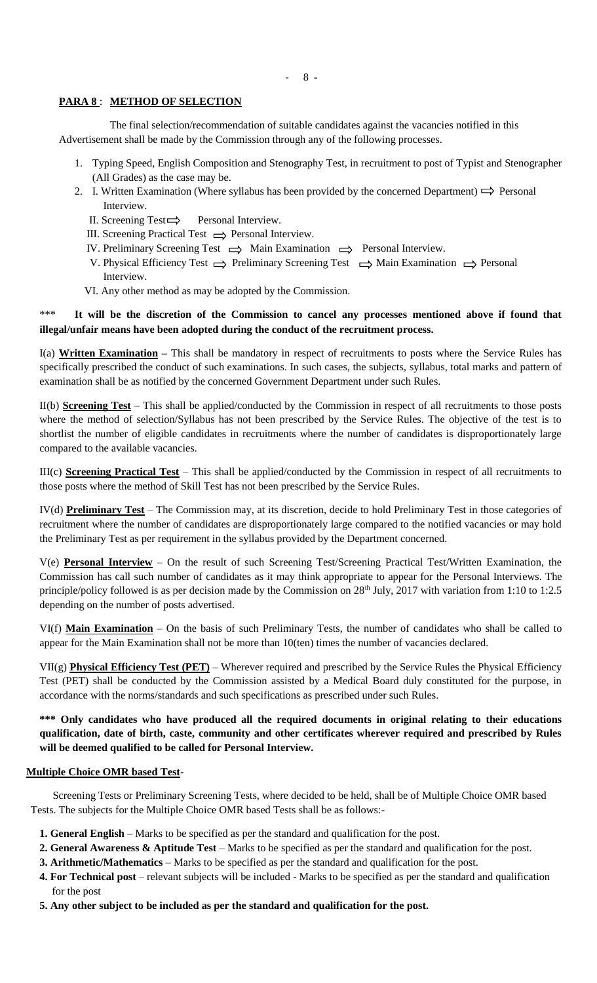- 8 -

# **PARA 8** : **METHOD OF SELECTION**

The final selection/recommendation of suitable candidates against the vacancies notified in this Advertisement shall be made by the Commission through any of the following processes.

- 1. Typing Speed, English Composition and Stenography Test, in recruitment to post of Typist and Stenographer (All Grades) as the case may be.
- 2. I. Written Examination (Where syllabus has been provided by the concerned Department)  $\Rightarrow$  Personal Interview.
	- II. Screening Test  $\implies$  Personal Interview.
	- III. Screening Practical Test  $\implies$  Personal Interview.
	- IV. Preliminary Screening Test  $\implies$  Main Examination  $\implies$  Personal Interview.
	- V. Physical Efficiency Test  $\implies$  Preliminary Screening Test  $\implies$  Main Examination  $\implies$  Personal Interview.
	- VI. Any other method as may be adopted by the Commission.

# \*\*\* **It will be the discretion of the Commission to cancel any processes mentioned above if found that illegal/unfair means have been adopted during the conduct of the recruitment process.**

I(a) **Written Examination –** This shall be mandatory in respect of recruitments to posts where the Service Rules has specifically prescribed the conduct of such examinations. In such cases, the subjects, syllabus, total marks and pattern of examination shall be as notified by the concerned Government Department under such Rules.

II(b) **Screening Test** – This shall be applied/conducted by the Commission in respect of all recruitments to those posts where the method of selection/Syllabus has not been prescribed by the Service Rules. The objective of the test is to shortlist the number of eligible candidates in recruitments where the number of candidates is disproportionately large compared to the available vacancies.

III(c) **Screening Practical Test** – This shall be applied/conducted by the Commission in respect of all recruitments to those posts where the method of Skill Test has not been prescribed by the Service Rules.

IV(d) **Preliminary Test** – The Commission may, at its discretion, decide to hold Preliminary Test in those categories of recruitment where the number of candidates are disproportionately large compared to the notified vacancies or may hold the Preliminary Test as per requirement in the syllabus provided by the Department concerned.

V(e) **Personal Interview** – On the result of such Screening Test/Screening Practical Test/Written Examination, the Commission has call such number of candidates as it may think appropriate to appear for the Personal Interviews. The principle/policy followed is as per decision made by the Commission on 28<sup>th</sup> July, 2017 with variation from 1:10 to 1:2.5 depending on the number of posts advertised.

VI(f) **Main Examination** – On the basis of such Preliminary Tests, the number of candidates who shall be called to appear for the Main Examination shall not be more than 10(ten) times the number of vacancies declared.

VII(g) **Physical Efficiency Test (PET)** – Wherever required and prescribed by the Service Rules the Physical Efficiency Test (PET) shall be conducted by the Commission assisted by a Medical Board duly constituted for the purpose, in accordance with the norms/standards and such specifications as prescribed under such Rules.

**\*\*\* Only candidates who have produced all the required documents in original relating to their educations qualification, date of birth, caste, community and other certificates wherever required and prescribed by Rules will be deemed qualified to be called for Personal Interview.**

# **Multiple Choice OMR based Test-**

Screening Tests or Preliminary Screening Tests, where decided to be held, shall be of Multiple Choice OMR based Tests. The subjects for the Multiple Choice OMR based Tests shall be as follows:-

- **1. General English** Marks to be specified as per the standard and qualification for the post.
- **2. General Awareness & Aptitude Test** Marks to be specified as per the standard and qualification for the post.
- **3. Arithmetic/Mathematics** Marks to be specified as per the standard and qualification for the post.
- **4. For Technical post** relevant subjects will be included Marks to be specified as per the standard and qualification for the post
- **5. Any other subject to be included as per the standard and qualification for the post.**